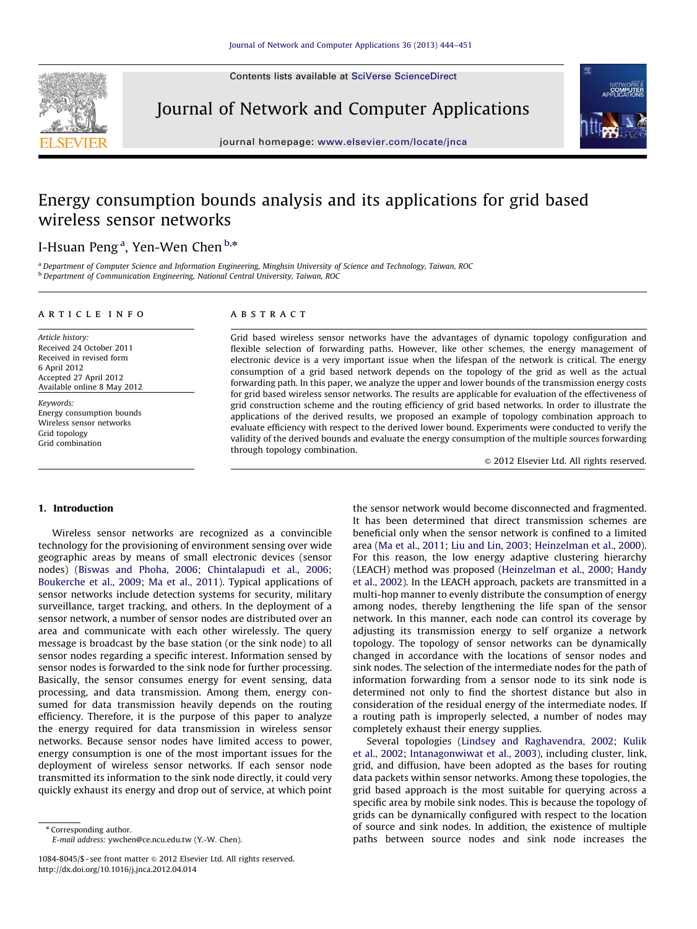Contents lists available at [SciVerse ScienceDirect](www.elsevier.com/locate/jnca)



Journal of Network and Computer Applications



journal homepage: <www.elsevier.com/locate/jnca>

## Energy consumption bounds analysis and its applications for grid based wireless sensor networks

### I-Hsuan Peng<sup>a</sup>, Yen-Wen Chen <sup>b,</sup>\*

<sup>a</sup> Department of Computer Science and Information Engineering, Minghsin University of Science and Technology, Taiwan, ROC b Department of Communication Engineering, National Central University, Taiwan, ROC

#### article info

Article history: Received 24 October 2011 Received in revised form 6 April 2012 Accepted 27 April 2012 Available online 8 May 2012

Keywords: Energy consumption bounds Wireless sensor networks Grid topology Grid combination

#### **ABSTRACT**

Grid based wireless sensor networks have the advantages of dynamic topology configuration and flexible selection of forwarding paths. However, like other schemes, the energy management of electronic device is a very important issue when the lifespan of the network is critical. The energy consumption of a grid based network depends on the topology of the grid as well as the actual forwarding path. In this paper, we analyze the upper and lower bounds of the transmission energy costs for grid based wireless sensor networks. The results are applicable for evaluation of the effectiveness of grid construction scheme and the routing efficiency of grid based networks. In order to illustrate the applications of the derived results, we proposed an example of topology combination approach to evaluate efficiency with respect to the derived lower bound. Experiments were conducted to verify the validity of the derived bounds and evaluate the energy consumption of the multiple sources forwarding through topology combination.

 $©$  2012 Elsevier Ltd. All rights reserved.

#### 1. Introduction

Wireless sensor networks are recognized as a convincible technology for the provisioning of environment sensing over wide geographic areas by means of small electronic devices (sensor nodes) [\(Biswas and Phoha, 2006](#page--1-0); [Chintalapudi et al., 2006;](#page--1-0) [Boukerche et al., 2009;](#page--1-0) [Ma et al., 2011](#page--1-0)). Typical applications of sensor networks include detection systems for security, military surveillance, target tracking, and others. In the deployment of a sensor network, a number of sensor nodes are distributed over an area and communicate with each other wirelessly. The query message is broadcast by the base station (or the sink node) to all sensor nodes regarding a specific interest. Information sensed by sensor nodes is forwarded to the sink node for further processing. Basically, the sensor consumes energy for event sensing, data processing, and data transmission. Among them, energy consumed for data transmission heavily depends on the routing efficiency. Therefore, it is the purpose of this paper to analyze the energy required for data transmission in wireless sensor networks. Because sensor nodes have limited access to power, energy consumption is one of the most important issues for the deployment of wireless sensor networks. If each sensor node transmitted its information to the sink node directly, it could very quickly exhaust its energy and drop out of service, at which point

\* Corresponding author.

E-mail address: [ywchen@ce.ncu.edu.tw \(Y.-W. Chen\).](mailto:ywchen@ce.ncu.edu.tw)

the sensor network would become disconnected and fragmented. It has been determined that direct transmission schemes are beneficial only when the sensor network is confined to a limited area ([Ma et al., 2011](#page--1-0); [Liu and Lin, 2003;](#page--1-0) [Heinzelman et al., 2000\)](#page--1-0). For this reason, the low energy adaptive clustering hierarchy (LEACH) method was proposed [\(Heinzelman et al., 2000;](#page--1-0) [Handy](#page--1-0) [et al., 2002](#page--1-0)). In the LEACH approach, packets are transmitted in a multi-hop manner to evenly distribute the consumption of energy among nodes, thereby lengthening the life span of the sensor network. In this manner, each node can control its coverage by adjusting its transmission energy to self organize a network topology. The topology of sensor networks can be dynamically changed in accordance with the locations of sensor nodes and sink nodes. The selection of the intermediate nodes for the path of information forwarding from a sensor node to its sink node is determined not only to find the shortest distance but also in consideration of the residual energy of the intermediate nodes. If a routing path is improperly selected, a number of nodes may completely exhaust their energy supplies.

Several topologies ([Lindsey and Raghavendra, 2002;](#page--1-0) [Kulik](#page--1-0) [et al., 2002;](#page--1-0) [Intanagonwiwat et al., 2003\)](#page--1-0), including cluster, link, grid, and diffusion, have been adopted as the bases for routing data packets within sensor networks. Among these topologies, the grid based approach is the most suitable for querying across a specific area by mobile sink nodes. This is because the topology of grids can be dynamically configured with respect to the location of source and sink nodes. In addition, the existence of multiple paths between source nodes and sink node increases the

<sup>1084-8045/\$ -</sup> see front matter  $\odot$  2012 Elsevier Ltd. All rights reserved. [http://dx.doi.org/10.1016/j.jnca.2012.04.014](dx.doi.org/10.1016/j.jnca.2012.04.014)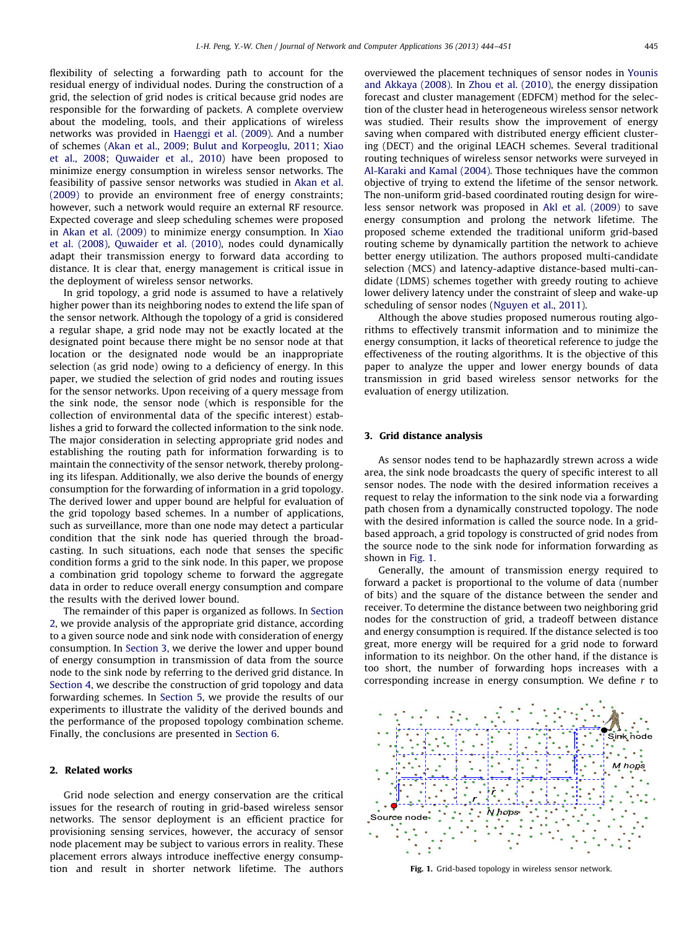flexibility of selecting a forwarding path to account for the residual energy of individual nodes. During the construction of a grid, the selection of grid nodes is critical because grid nodes are responsible for the forwarding of packets. A complete overview about the modeling, tools, and their applications of wireless networks was provided in [Haenggi et al. \(2009\).](#page--1-0) And a number of schemes [\(Akan et al., 2009;](#page--1-0) [Bulut and Korpeoglu, 2011](#page--1-0); [Xiao](#page--1-0) [et al., 2008](#page--1-0); [Quwaider et al., 2010](#page--1-0)) have been proposed to minimize energy consumption in wireless sensor networks. The feasibility of passive sensor networks was studied in [Akan et al.](#page--1-0) [\(2009\)](#page--1-0) to provide an environment free of energy constraints; however, such a network would require an external RF resource. Expected coverage and sleep scheduling schemes were proposed in [Akan et al. \(2009\)](#page--1-0) to minimize energy consumption. In [Xiao](#page--1-0) [et al. \(2008\)](#page--1-0), [Quwaider et al. \(2010\)](#page--1-0), nodes could dynamically adapt their transmission energy to forward data according to distance. It is clear that, energy management is critical issue in the deployment of wireless sensor networks.

In grid topology, a grid node is assumed to have a relatively higher power than its neighboring nodes to extend the life span of the sensor network. Although the topology of a grid is considered a regular shape, a grid node may not be exactly located at the designated point because there might be no sensor node at that location or the designated node would be an inappropriate selection (as grid node) owing to a deficiency of energy. In this paper, we studied the selection of grid nodes and routing issues for the sensor networks. Upon receiving of a query message from the sink node, the sensor node (which is responsible for the collection of environmental data of the specific interest) establishes a grid to forward the collected information to the sink node. The major consideration in selecting appropriate grid nodes and establishing the routing path for information forwarding is to maintain the connectivity of the sensor network, thereby prolonging its lifespan. Additionally, we also derive the bounds of energy consumption for the forwarding of information in a grid topology. The derived lower and upper bound are helpful for evaluation of the grid topology based schemes. In a number of applications, such as surveillance, more than one node may detect a particular condition that the sink node has queried through the broadcasting. In such situations, each node that senses the specific condition forms a grid to the sink node. In this paper, we propose a combination grid topology scheme to forward the aggregate data in order to reduce overall energy consumption and compare the results with the derived lower bound.

The remainder of this paper is organized as follows. In Section 2, we provide analysis of the appropriate grid distance, according to a given source node and sink node with consideration of energy consumption. In Section 3, we derive the lower and upper bound of energy consumption in transmission of data from the source node to the sink node by referring to the derived grid distance. In [Section 4,](#page--1-0) we describe the construction of grid topology and data forwarding schemes. In [Section 5,](#page--1-0) we provide the results of our experiments to illustrate the validity of the derived bounds and the performance of the proposed topology combination scheme. Finally, the conclusions are presented in [Section 6.](#page--1-0)

#### 2. Related works

Grid node selection and energy conservation are the critical issues for the research of routing in grid-based wireless sensor networks. The sensor deployment is an efficient practice for provisioning sensing services, however, the accuracy of sensor node placement may be subject to various errors in reality. These placement errors always introduce ineffective energy consumption and result in shorter network lifetime. The authors overviewed the placement techniques of sensor nodes in [Younis](#page--1-0) [and Akkaya \(2008\)](#page--1-0). In [Zhou et al. \(2010\)](#page--1-0), the energy dissipation forecast and cluster management (EDFCM) method for the selection of the cluster head in heterogeneous wireless sensor network was studied. Their results show the improvement of energy saving when compared with distributed energy efficient clustering (DECT) and the original LEACH schemes. Several traditional routing techniques of wireless sensor networks were surveyed in [Al-Karaki and Kamal \(2004\).](#page--1-0) Those techniques have the common objective of trying to extend the lifetime of the sensor network. The non-uniform grid-based coordinated routing design for wireless sensor network was proposed in [Akl et al. \(2009\)](#page--1-0) to save energy consumption and prolong the network lifetime. The proposed scheme extended the traditional uniform grid-based routing scheme by dynamically partition the network to achieve better energy utilization. The authors proposed multi-candidate selection (MCS) and latency-adaptive distance-based multi-candidate (LDMS) schemes together with greedy routing to achieve lower delivery latency under the constraint of sleep and wake-up scheduling of sensor nodes ([Nguyen et al., 2011](#page--1-0)).

Although the above studies proposed numerous routing algorithms to effectively transmit information and to minimize the energy consumption, it lacks of theoretical reference to judge the effectiveness of the routing algorithms. It is the objective of this paper to analyze the upper and lower energy bounds of data transmission in grid based wireless sensor networks for the evaluation of energy utilization.

#### 3. Grid distance analysis

As sensor nodes tend to be haphazardly strewn across a wide area, the sink node broadcasts the query of specific interest to all sensor nodes. The node with the desired information receives a request to relay the information to the sink node via a forwarding path chosen from a dynamically constructed topology. The node with the desired information is called the source node. In a gridbased approach, a grid topology is constructed of grid nodes from the source node to the sink node for information forwarding as shown in Fig. 1.

Generally, the amount of transmission energy required to forward a packet is proportional to the volume of data (number of bits) and the square of the distance between the sender and receiver. To determine the distance between two neighboring grid nodes for the construction of grid, a tradeoff between distance and energy consumption is required. If the distance selected is too great, more energy will be required for a grid node to forward information to its neighbor. On the other hand, if the distance is too short, the number of forwarding hops increases with a corresponding increase in energy consumption. We define  $r$  to



Fig. 1. Grid-based topology in wireless sensor network.